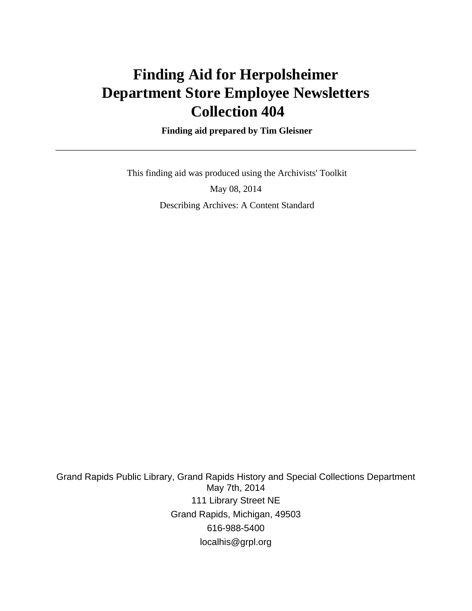# **Finding Aid for Herpolsheimer Department Store Employee Newsletters Collection 404**

 **Finding aid prepared by Tim Gleisner**

 This finding aid was produced using the Archivists' Toolkit May 08, 2014 Describing Archives: A Content Standard

Grand Rapids Public Library, Grand Rapids History and Special Collections Department May 7th, 2014 111 Library Street NE Grand Rapids, Michigan, 49503 616-988-5400 localhis@grpl.org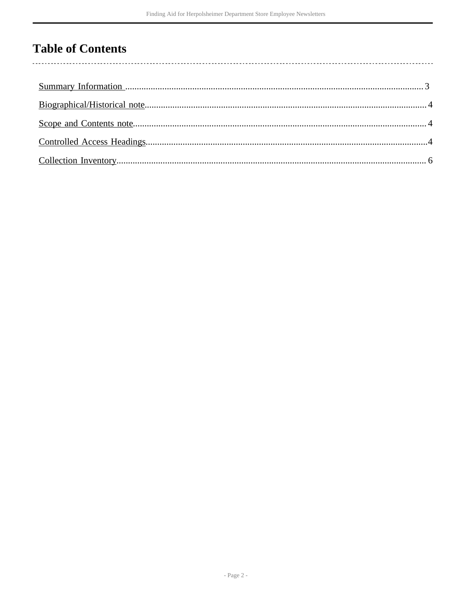# **Table of Contents**

 $\overline{\phantom{a}}$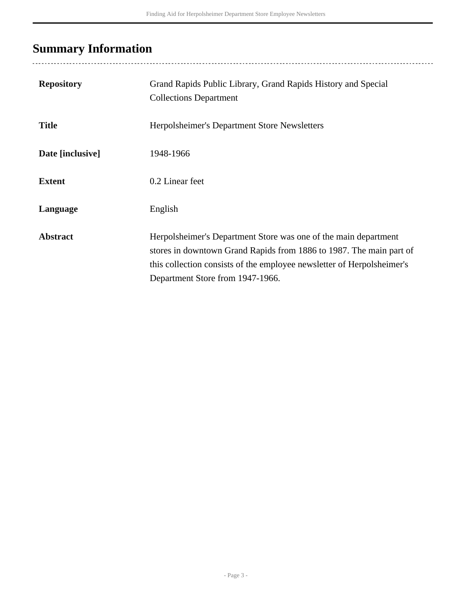# <span id="page-2-0"></span>**Summary Information**

| <b>Repository</b> | Grand Rapids Public Library, Grand Rapids History and Special<br><b>Collections Department</b>                                                                                                                                                       |
|-------------------|------------------------------------------------------------------------------------------------------------------------------------------------------------------------------------------------------------------------------------------------------|
| <b>Title</b>      | Herpolsheimer's Department Store Newsletters                                                                                                                                                                                                         |
| Date [inclusive]  | 1948-1966                                                                                                                                                                                                                                            |
| <b>Extent</b>     | 0.2 Linear feet                                                                                                                                                                                                                                      |
| Language          | English                                                                                                                                                                                                                                              |
| <b>Abstract</b>   | Herpolsheimer's Department Store was one of the main department<br>stores in downtown Grand Rapids from 1886 to 1987. The main part of<br>this collection consists of the employee newsletter of Herpolsheimer's<br>Department Store from 1947-1966. |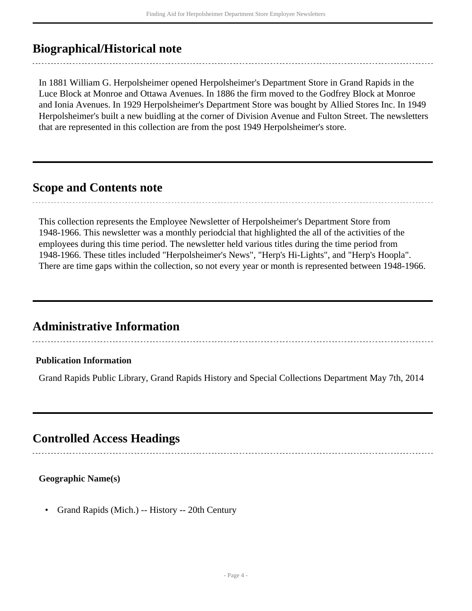## <span id="page-3-0"></span>**Biographical/Historical note**

In 1881 William G. Herpolsheimer opened Herpolsheimer's Department Store in Grand Rapids in the Luce Block at Monroe and Ottawa Avenues. In 1886 the firm moved to the Godfrey Block at Monroe and Ionia Avenues. In 1929 Herpolsheimer's Department Store was bought by Allied Stores Inc. In 1949 Herpolsheimer's built a new buidling at the corner of Division Avenue and Fulton Street. The newsletters that are represented in this collection are from the post 1949 Herpolsheimer's store.

## <span id="page-3-1"></span>**Scope and Contents note**

This collection represents the Employee Newsletter of Herpolsheimer's Department Store from 1948-1966. This newsletter was a monthly periodcial that highlighted the all of the activities of the employees during this time period. The newsletter held various titles during the time period from 1948-1966. These titles included "Herpolsheimer's News", "Herp's Hi-Lights", and "Herp's Hoopla". There are time gaps within the collection, so not every year or month is represented between 1948-1966.

## **Administrative Information**

#### **Publication Information**

Grand Rapids Public Library, Grand Rapids History and Special Collections Department May 7th, 2014

## <span id="page-3-2"></span>**Controlled Access Headings**

#### **Geographic Name(s)**

• Grand Rapids (Mich.) -- History -- 20th Century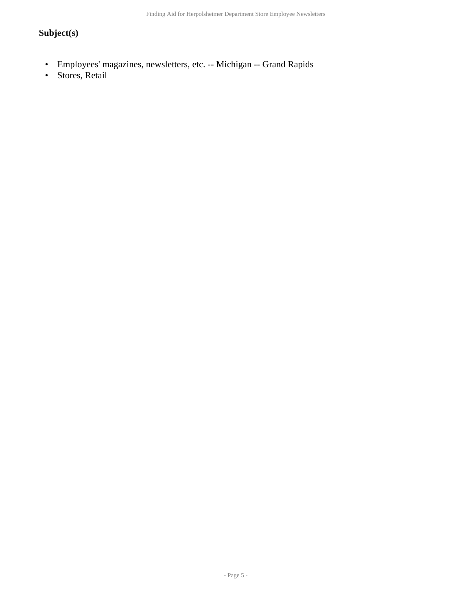Finding Aid for Herpolsheimer Department Store Employee Newsletters

### **Subject(s)**

- Employees' magazines, newsletters, etc. -- Michigan -- Grand Rapids
- Stores, Retail